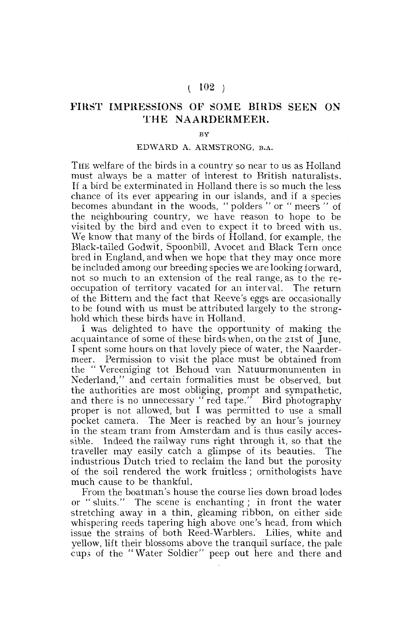# $(102)$

# **FIRST IMPRESSIONS OF SOME BIRDS SEEN ON THE NAARDERMEER.**

**BY** 

#### EDWARD A. ARMSTRONG, B.A.

THE welfare of the birds in a country so near to us as Holland must always be a matter of interest to British naturalists. If a bird be exterminated in Holland there is so much the less chance of its ever appearing in our islands, and if a species becomes abundant in the woods, " polders " or " meers " of the neighbouring country, we have reason to hope to be visited by the bird and even to expect it to breed with us. We know that many of the birds of Holland, for example, the Black-tailed Godwit, Spoonbill, Avocet and Black Tern once bred in England, and when we hope that they may once more be included among our breeding species we are looking forward, not so much to an extension of the real range, as to the reoccupation of territory vacated for an interval. The return of the Bittern and the fact that Reeve's eggs are occasionally to be found with us must be attributed largely to the stronghold which these birds have in Holland.

I was delighted to have the opportunity of making the acquaintance of some of these birds when, on the 21st of June, I spent some hours on that lovely piece of water, the Naardermeer. Permission to visit the place must be obtained from the " Vereeniging tot Behoud van **Natuurmonumenten** in Nederland," and certain formalities must be observed, but the authorities are most obliging, prompt and sympathetic, and there is no unnecessary " red tape." Bird **photography**  proper is not allowed, but I was permitted to use a small pocket camera. The Meer is reached by an hour's journey in the steam tram from Amsterdam and is thus easily accessible. Indeed the railway runs right through it, so that the traveller may easily catch a glimpse of its beauties. The industrious Dutch tried to reclaim the land but the porosity of the soil rendered the work fruitless; ornithologists have much cause to be thankful.

From the boatman's house the course lies down broad lodes or " sluits." The scene is enchanting ; in front the water stretching away in a thin, gleaming ribbon, on either side whispering reeds tapering high above one's head, from which issue the strains of both Reed-Warblers. Lilies, white and yellow, lift their blossoms above the tranquil surface, the pale cups of the "Water Soldier" peep out here and there and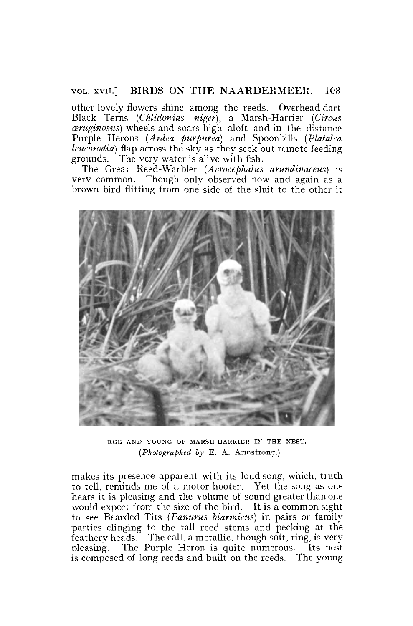## VOL. xvii.] **BIRDS ON THE NAARDERMEEK. 108**

other lovely flowers shine among the reeds. Overhead dart Black Terns *{Chlidonias niger),* a Marsh-Harrier *(Circus ceruginosus)* wheels and soars high aloft and in the distance Purple Herons *(Ardea purpurea)* and Spoonbills *(Platalea leucorodia)* flap across the sky as they seek out remote feeding grounds. The very water is alive with fish.

The Great Reed-Warbler *(Acrocephalus arundinaceus)* is very common. Though only observed now and again as a brown bird flitting from one side of the sluit to the other it



EGG AND YOUNG OF MARSH-HARRIER IN THE NEST. *(Photographed by* E. A. Armstrong.)

makes its presence apparent with its loud song, which, truth to tell, reminds me of a motor-hooter. Yet the song as one hears it is pleasing and the volume of sound greater than one would expect from the size of the bird. It is a common sight to see Bearded Tits *(Panurus biarmicus)* in pairs or family parties clinging to the tall reed stems and pecking at the feathery heads. The call, a metallic, though soft, ring, is very pleasing. The Purple Heron is quite numerous. Its nest is composed of long reeds and built on the reeds. The young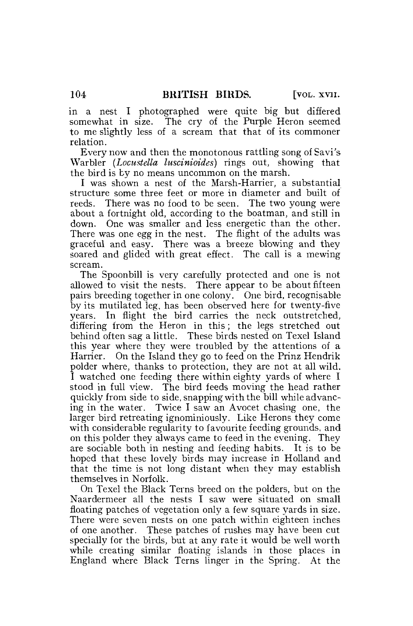in a nest I photographed were quite big but differed somewhat in size. The cry of the Purple Heron seemed to me slightly less of a scream that that of its commoner relation.

Every now and then the monotonous rattling song of Savi's Warbler *(Locustella luscinioides)* rings out, showing that the bird is by no means uncommon on the marsh.

I was shown a nest of the Marsh-Harrier, a substantial structure some three feet or more in diameter and built of reeds. There was no food to be seen. The two young were about a fortnight old, according to the boatman, and still in down. One was smaller and less energetic than the other. There was one egg in the nest. The flight of the adults was graceful and easy. There was a breeze blowing and they soared and glided with great effect. The call is a mewing scream.

The Spoonbill is very carefully protected and one is not allowed to visit the nests. There appear to be about fifteen pairs breeding together in one colony. One bird, recognisable by its mutilated leg, has been observed here for twenty-five years. In flight the bird carries the neck outstretched, differing from the Heron in this ; the legs stretched out behind often sag a little. These birds nested on Texel Island this year where they were troubled by the attentions of a Harrier. On the Island they go to feed on the Prinz Hendrik polder where, thanks to protection, they are not at all wild. I watched one feeding there within eighty yards of where I stood in full view. The bird feeds moving the head rather quickly from side to side, snapping with the bill while advancing in the water. Twice I saw an Avocet chasing one, the larger bird retreating ignominiously. Like Herons they come with considerable regularity to favourite feeding grounds, and on this polder they always came to feed in the evening. They are sociable both in nesting and feeding habits. It is to be hoped that these lovely birds may increase in Holland and that the time is not long distant when they may establish themselves in Norfolk.

On Texel the Black Terns breed on the polders, but on the Naardermeer all the nests I saw were situated on small floating patches of vegetation only a few square yards in size. There were seven nests on one patch within eighteen inches of one another. These patches of rushes may have been cut specially for the birds, but at any rate it would be well worth while creating similar floating islands in those places in England where Black Terns linger in the Spring. At the